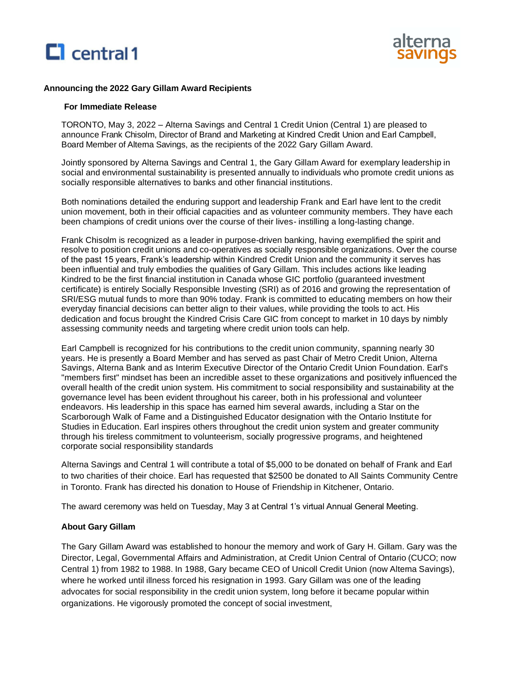



### **Announcing the 2022 Gary Gillam Award Recipients**

#### **For Immediate Release**

TORONTO, May 3, 2022 – Alterna Savings and Central 1 Credit Union (Central 1) are pleased to announce Frank Chisolm, Director of Brand and Marketing at Kindred Credit Union and Earl Campbell, Board Member of Alterna Savings, as the recipients of the 2022 Gary Gillam Award.

Jointly sponsored by Alterna Savings and Central 1, the Gary Gillam Award for exemplary leadership in social and environmental sustainability is presented annually to individuals who promote credit unions as socially responsible alternatives to banks and other financial institutions.

Both nominations detailed the enduring support and leadership Frank and Earl have lent to the credit union movement, both in their official capacities and as volunteer community members. They have each been champions of credit unions over the course of their lives- instilling a long-lasting change.

Frank Chisolm is recognized as a leader in purpose-driven banking, having exemplified the spirit and resolve to position credit unions and co-operatives as socially responsible organizations. Over the course of the past 15 years, Frank's leadership within Kindred Credit Union and the community it serves has been influential and truly embodies the qualities of Gary Gillam. This includes actions like leading Kindred to be the first financial institution in Canada whose GIC portfolio (guaranteed investment certificate) is entirely Socially Responsible Investing (SRI) as of 2016 and growing the representation of SRI/ESG mutual funds to more than 90% today. Frank is committed to educating members on how their everyday financial decisions can better align to their values, while providing the tools to act. His dedication and focus brought the Kindred Crisis Care GIC from concept to market in 10 days by nimbly assessing community needs and targeting where credit union tools can help.

Earl Campbell is recognized for his contributions to the credit union community, spanning nearly 30 years. He is presently a Board Member and has served as past Chair of Metro Credit Union, Alterna Savings, Alterna Bank and as Interim Executive Director of the Ontario Credit Union Foundation. Earl's "members first" mindset has been an incredible asset to these organizations and positively influenced the overall health of the credit union system. His commitment to social responsibility and sustainability at the governance level has been evident throughout his career, both in his professional and volunteer endeavors. His leadership in this space has earned him several awards, including a Star on the Scarborough Walk of Fame and a Distinguished Educator designation with the Ontario Institute for Studies in Education. Earl inspires others throughout the credit union system and greater community through his tireless commitment to volunteerism, socially progressive programs, and heightened corporate social responsibility standards

Alterna Savings and Central 1 will contribute a total of \$5,000 to be donated on behalf of Frank and Earl to two charities of their choice. Earl has requested that \$2500 be donated to All Saints Community Centre in Toronto. Frank has directed his donation to House of Friendship in Kitchener, Ontario.

The award ceremony was held on Tuesday, May 3 at Central 1's virtual Annual General Meeting.

### **About Gary Gillam**

The Gary Gillam Award was established to honour the memory and work of Gary H. Gillam. Gary was the Director, Legal, Governmental Affairs and Administration, at Credit Union Central of Ontario (CUCO; now Central 1) from 1982 to 1988. In 1988, Gary became CEO of Unicoll Credit Union (now Altema Savings), where he worked until illness forced his resignation in 1993. Gary Gillam was one of the leading advocates for social responsibility in the credit union system, long before it became popular within organizations. He vigorously promoted the concept of social investment,